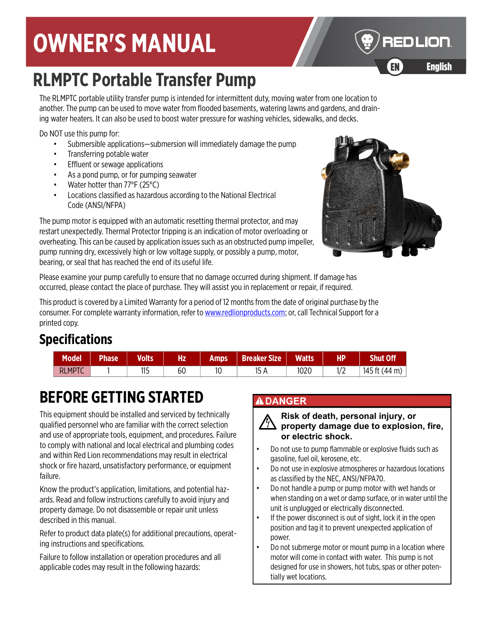# **OWNER'S MANUAL**

# **RLMPTC Portable Transfer Pump**

The RLMPTC portable utility transfer pump is intended for intermittent duty, moving water from one location to another. The pump can be used to move water from flooded basements, watering lawns and gardens, and draining water heaters. It can also be used to boost water pressure for washing vehicles, sidewalks, and decks.

Do NOT use this pump for:

- Submersible applications—submersion will immediately damage the pump
- Transferring potable water
- Effluent or sewage applications
- As a pond pump, or for pumping seawater
- Water hotter than 77°F (25°C)
- Locations classified as hazardous according to the National Electrical Code (ANSI/NFPA)

The pump motor is equipped with an automatic resetting thermal protector, and may restart unexpectedly. Thermal Protector tripping is an indication of motor overloading or overheating. This can be caused by application issues such as an obstructed pump impeller, pump running dry, excessively high or low voltage supply, or possibly a pump, motor, bearing, or seal that has reached the end of its useful life.

Please examine your pump carefully to ensure that no damage occurred during shipment. If damage has occurred, please contact the place of purchase. They will assist you in replacement or repair, if required.

[This product is covered by a Limited Warranty for a period of 12 months from the date of original purchase by the](http://www.redlionproducts.com)  [consumer. For complete warranty information, refer to w](http://www.redlionproducts.com)ww.redlionproducts.com; or, call Technical Support for a printed copy.

## **Specifications**

| <b>Model</b>  | <b>Phase</b> | <b>Volts</b> | Hz | Amps | <b>Breaker Size</b> | <b>Watts</b> | HP.  | Shut Off'     |
|---------------|--------------|--------------|----|------|---------------------|--------------|------|---------------|
| <b>RLMPTC</b> |              | 11E<br>╹╹~   | 60 | 10   | 15 A                | 1020         | 17 L | 145 ft (44 m) |

# **BEFORE GETTING STARTED**

This equipment should be installed and serviced by technically qualified personnel who are familiar with the correct selection and use of appropriate tools, equipment, and procedures. Failure to comply with national and local electrical and plumbing codes and within Red Lion recommendations may result in electrical shock or fire hazard, unsatisfactory performance, or equipment failure.

Know the product's application, limitations, and potential hazards. Read and follow instructions carefully to avoid injury and property damage. Do not disassemble or repair unit unless described in this manual.

Refer to product data plate(s) for additional precautions, operating instructions and specifications.

Failure to follow installation or operation procedures and all applicable codes may result in the following hazards:

#### **ADANGER**

**Risk of death, personal injury, or property damage due to explosion, fire, or electric shock.**

- Do not use to pump flammable or explosive fluids such as gasoline, fuel oil, kerosene, etc.
- Do not use in explosive atmospheres or hazardous locations as classified by the NEC, ANSI/NFPA70.
- Do not handle a pump or pump motor with wet hands or when standing on a wet or damp surface, or in water until the unit is unplugged or electrically disconnected.
- If the power disconnect is out of sight, lock it in the open position and tag it to prevent unexpected application of power.
- Do not submerge motor or mount pump in a location where motor will come in contact with water. This pump is not designed for use in showers, hot tubs, spas or other potentially wet locations.





EN

EN English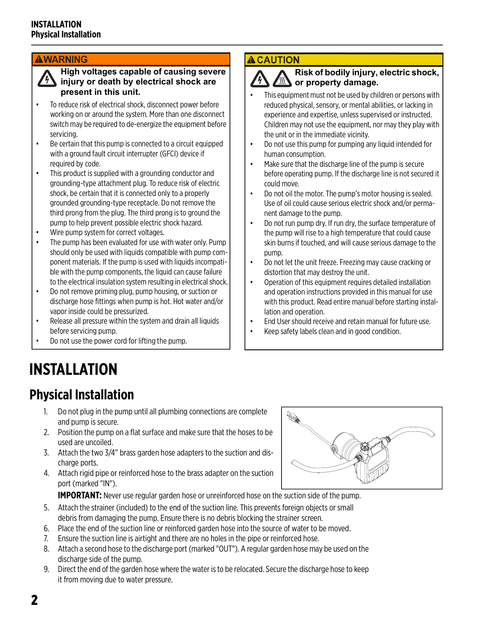#### **AWARNING**

**High voltages capable of causing severe injury or death by electrical shock are present in this unit.**

- To reduce risk of electrical shock, disconnect power before working on or around the system. More than one disconnect switch may be required to de-energize the equipment before servicing.
- Be certain that this pump is connected to a circuit equipped with a ground fault circuit interrupter (GFCI) device if required by code.
- This product is supplied with a grounding conductor and grounding-type attachment plug. To reduce risk of electric shock, be certain that it is connected only to a properly grounded grounding-type receptacle. Do not remove the third prong from the plug. The third prong is to ground the pump to help prevent possible electric shock hazard.
- Wire pump system for correct voltages.
- The pump has been evaluated for use with water only. Pump should only be used with liquids compatible with pump component materials. If the pump is used with liquids incompatible with the pump components, the liquid can cause failure to the electrical insulation system resulting in electrical shock.
- Do not remove priming plug, pump housing, or suction or discharge hose fittings when pump is hot. Hot water and/or vapor inside could be pressurized.
- Release all pressure within the system and drain all liquids before servicing pump.
- Do not use the power cord for lifting the pump.

#### **ACAUTION**

#### **Risk of bodily injury, electric shock, or property damage.**

- This equipment must not be used by children or persons with reduced physical, sensory, or mental abilities, or lacking in experience and expertise, unless supervised or instructed. Children may not use the equipment, nor may they play with the unit or in the immediate vicinity.
- Do not use this pump for pumping any liquid intended for human consumption.
- Make sure that the discharge line of the pump is secure before operating pump. If the discharge line is not secured it could move.
- Do not oil the motor. The pump's motor housing is sealed. Use of oil could cause serious electric shock and/or permanent damage to the pump.
- Do not run pump dry. If run dry, the surface temperature of the pump will rise to a high temperature that could cause skin burns if touched, and will cause serious damage to the pump.
- Do not let the unit freeze. Freezing may cause cracking or distortion that may destroy the unit.
- Operation of this equipment requires detailed installation and operation instructions provided in this manual for use with this product. Read entire manual before starting installation and operation.
- End User should receive and retain manual for future use.
- Keep safety labels clean and in good condition.

## **INSTALLATION**

## **Physical Installation**

- 1. Do not plug in the pump until all plumbing connections are complete and pump is secure.
- 2. Position the pump on a flat surface and make sure that the hoses to be used are uncoiled.
- 3. Attach the two 3/4" brass garden hose adapters to the suction and discharge ports.
- 4. Attach rigid pipe or reinforced hose to the brass adapter on the suction port (marked "IN").



**IMPORTANT:** Never use regular garden hose or unreinforced hose on the suction side of the pump.

- 5. Attach the strainer (included) to the end of the suction line. This prevents foreign objects or small debris from damaging the pump. Ensure there is no debris blocking the strainer screen.
- 6. Place the end of the suction line or reinforced garden hose into the source of water to be moved.
- 7. Ensure the suction line is airtight and there are no holes in the pipe or reinforced hose.
- 8. Attach a second hose to the discharge port (marked "OUT"). A regular garden hose may be used on the discharge side of the pump.
- 9. Direct the end of the garden hose where the water is to be relocated. Secure the discharge hose to keep it from moving due to water pressure.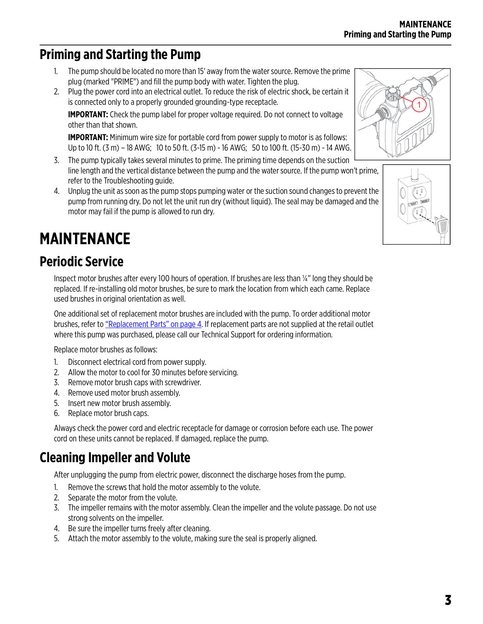## **Priming and Starting the Pump**

- 1. The pump should be located no more than 15' away from the water source. Remove the prime plug (marked "PRIME") and fill the pump body with water. Tighten the plug.
- 2. Plug the power cord into an electrical outlet. To reduce the risk of electric shock, be certain it is connected only to a properly grounded grounding-type receptacle.

**IMPORTANT:** Check the pump label for proper voltage required. Do not connect to voltage other than that shown.

**IMPORTANT:** Minimum wire size for portable cord from power supply to motor is as follows: Up to 10 ft. (3 m) – 18 AWG; 10 to 50 ft. (3-15 m) - 16 AWG; 50 to 100 ft. (15-30 m) - 14 AWG.

- 3. The pump typically takes several minutes to prime. The priming time depends on the suction line length and the vertical distance between the pump and the water source. If the pump won't prime, refer to the Troubleshooting guide.
- 4. Unplug the unit as soon as the pump stops pumping water or the suction sound changes to prevent the pump from running dry. Do not let the unit run dry (without liquid). The seal may be damaged and the motor may fail if the pump is allowed to run dry.

# <span id="page-2-1"></span>**MAINTENANCE**

## **Periodic Service**

Inspect motor brushes after every 100 hours of operation. If brushes are less than ¼" long they should be replaced. If re-installing old motor brushes, be sure to mark the location from which each came. Replace used brushes in original orientation as well.

One additional set of replacement motor brushes are included with the pump. To order additional motor brushes, refer to ["Replacement Parts" on page 4](#page-3-0). If replacement parts are not supplied at the retail outlet where this pump was purchased, please call our Technical Support for ordering information.

Replace motor brushes as follows:

- 1. Disconnect electrical cord from power supply.
- 2. Allow the motor to cool for 30 minutes before servicing.
- 3. Remove motor brush caps with screwdriver.
- 4. Remove used motor brush assembly.
- 5. Insert new motor brush assembly.
- 6. Replace motor brush caps.

Always check the power cord and electric receptacle for damage or corrosion before each use. The power cord on these units cannot be replaced. If damaged, replace the pump.

## <span id="page-2-0"></span>**Cleaning Impeller and Volute**

After unplugging the pump from electric power, disconnect the discharge hoses from the pump.

- 1. Remove the screws that hold the motor assembly to the volute.
- 2. Separate the motor from the volute.
- 3. The impeller remains with the motor assembly. Clean the impeller and the volute passage. Do not use strong solvents on the impeller.
- 4. Be sure the impeller turns freely after cleaning.
- 5. Attach the motor assembly to the volute, making sure the seal is properly aligned.



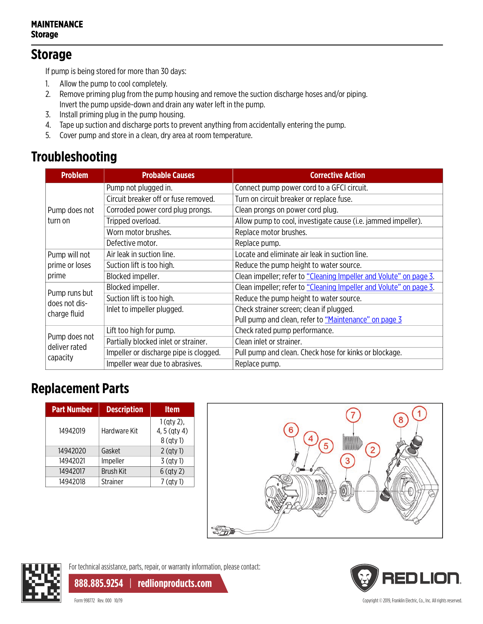#### **MAINTENANCE Storage**

#### **Storage**

If pump is being stored for more than 30 days:

- 1. Allow the pump to cool completely.
- 2. Remove priming plug from the pump housing and remove the suction discharge hoses and/or piping. Invert the pump upside-down and drain any water left in the pump.
- 3. Install priming plug in the pump housing.
- 4. Tape up suction and discharge ports to prevent anything from accidentally entering the pump.
- 5. Cover pump and store in a clean, dry area at room temperature.

## **Troubleshooting**

| <b>Problem</b>                 | <b>Probable Causes</b>                                                                                                                                                                                                       | <b>Corrective Action</b>                                           |  |  |
|--------------------------------|------------------------------------------------------------------------------------------------------------------------------------------------------------------------------------------------------------------------------|--------------------------------------------------------------------|--|--|
|                                | Pump not plugged in.                                                                                                                                                                                                         | Connect pump power cord to a GFCI circuit.                         |  |  |
|                                | Circuit breaker off or fuse removed.                                                                                                                                                                                         | Turn on circuit breaker or replace fuse.                           |  |  |
| Pump does not                  | Corroded power cord plug prongs.                                                                                                                                                                                             | Clean prongs on power cord plug.                                   |  |  |
| turn on                        | Tripped overload.                                                                                                                                                                                                            | Allow pump to cool, investigate cause (i.e. jammed impeller).      |  |  |
|                                | Worn motor brushes.                                                                                                                                                                                                          | Replace motor brushes.                                             |  |  |
|                                | Defective motor.                                                                                                                                                                                                             | Replace pump.                                                      |  |  |
| Pump will not                  | Air leak in suction line.                                                                                                                                                                                                    | Locate and eliminate air leak in suction line.                     |  |  |
| prime or loses                 | Suction lift is too high.                                                                                                                                                                                                    | Reduce the pump height to water source.                            |  |  |
| prime                          | Blocked impeller.                                                                                                                                                                                                            | Clean impeller; refer to "Cleaning Impeller and Volute" on page 3. |  |  |
| Pump runs but                  | Blocked impeller.<br>Suction lift is too high.<br>Inlet to impeller plugged.<br>Lift too high for pump.<br>Partially blocked inlet or strainer.<br>Impeller or discharge pipe is clogged.<br>Impeller wear due to abrasives. | Clean impeller; refer to "Cleaning Impeller and Volute" on page 3. |  |  |
| does not dis-                  |                                                                                                                                                                                                                              | Reduce the pump height to water source.                            |  |  |
| charge fluid                   |                                                                                                                                                                                                                              | Check strainer screen; clean if plugged.                           |  |  |
|                                |                                                                                                                                                                                                                              | Pull pump and clean, refer to "Maintenance" on page 3              |  |  |
|                                |                                                                                                                                                                                                                              | Check rated pump performance.                                      |  |  |
| Pump does not<br>deliver rated |                                                                                                                                                                                                                              | Clean inlet or strainer.                                           |  |  |
| capacity                       |                                                                                                                                                                                                                              | Pull pump and clean. Check hose for kinks or blockage.             |  |  |
|                                |                                                                                                                                                                                                                              | Replace pump.                                                      |  |  |

### <span id="page-3-0"></span>**Replacement Parts**

| <b>Description</b> | <b>Item</b>                                 |
|--------------------|---------------------------------------------|
| Hardware Kit       | $1$ (qty 2),<br>4, 5 (qty 4)<br>$8$ (qty 1) |
| Gasket             | $2$ (qty 1)                                 |
| Impeller           | $3$ (qty 1)                                 |
| <b>Brush Kit</b>   | $6$ (qty 2)                                 |
| <b>Strainer</b>    | 7 (gty 1)                                   |
|                    |                                             |





For technical assistance, parts, repair, or warranty information, please contact:

**888.885.9254** | **redlionproducts.com**

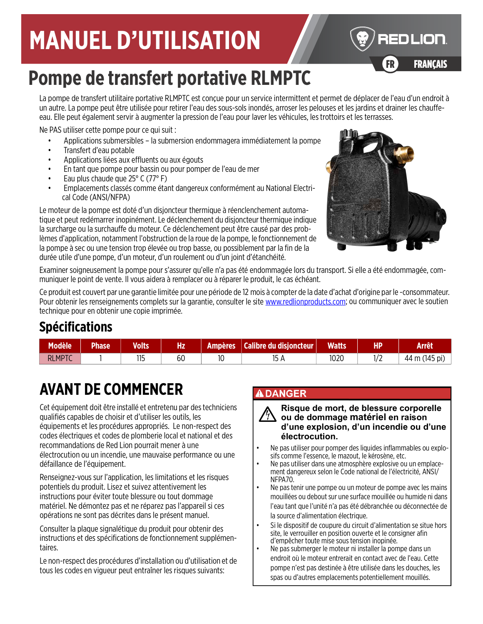# **MANUEL D'UTILISATION**

# **Pompe de transfert portative RLMPTC**

La pompe de transfert utilitaire portative RLMPTC est conçue pour un service intermittent et permet de déplacer de l'eau d'un endroit à un autre. La pompe peut être utilisée pour retirer l'eau des sous-sols inondés, arroser les pelouses et les jardins et drainer les chauffeeau. Elle peut également servir à augmenter la pression de l'eau pour laver les véhicules, les trottoirs et les terrasses.

Ne PAS utiliser cette pompe pour ce qui suit :

- Applications submersibles la submersion endommagera immédiatement la pompe
- Transfert d'eau potable
- Applications liées aux effluents ou aux égouts
- En tant que pompe pour bassin ou pour pomper de l'eau de mer
- Eau plus chaude que 25° C (77° F)
- Emplacements classés comme étant dangereux conformément au National Electrical Code (ANSI/NFPA)

Le moteur de la pompe est doté d'un disjoncteur thermique à réenclenchement automatique et peut redémarrer inopinément. Le déclenchement du disjoncteur thermique indique la surcharge ou la surchauffe du moteur. Ce déclenchement peut être causé par des problèmes d'application, notamment l'obstruction de la roue de la pompe, le fonctionnement de la pompe à sec ou une tension trop élevée ou trop basse, ou possiblement par la fin de la durée utile d'une pompe, d'un moteur, d'un roulement ou d'un joint d'étanchéité.



FR FRANÇAIS

**REDLION** 

Examiner soigneusement la pompe pour s'assurer qu'elle n'a pas été endommagée lors du transport. Si elle a été endommagée, communiquer le point de vente. Il vous aidera à remplacer ou à réparer le produit, le cas échéant.

[Ce produit est couvert par une garantie limitée pour une période de 12 mois à compter de la date d'achat d'origine par le](http://www.redlionproducts.com) -consommateur. [Pour obtenir les renseignements complets sur la garantie, consulter le site w](http://www.redlionproducts.com)ww.redlionproducts.com; ou communiquer avec le soutien technique pour en obtenir une copie imprimée.

## **Spécifications**

| <b>Modèle</b> | <b>Phase</b> | <b>Volts</b> | Hz | <b>Ampères</b> | Calibre du disjoncteur | <b>Watts</b> | НP          | <b>Arrêt</b>               |
|---------------|--------------|--------------|----|----------------|------------------------|--------------|-------------|----------------------------|
| <b>RLMPTC</b> |              | 115          | 60 | 10             | 15<br>IJ H             | 1020         | م ا<br>17 L | $(145 \text{ pi})$<br>44 m |

# **AVANT DE COMMENCER**

Cet équipement doit être installé et entretenu par des techniciens qualifiés capables de choisir et d'utiliser les outils, les équipements et les procédures appropriés. Le non-respect des codes électriques et codes de plomberie local et national et des recommandations de Red Lion pourrait mener à une électrocution ou un incendie, une mauvaise performance ou une défaillance de l'équipement.

Renseignez-vous sur l'application, les limitations et les risques potentiels du produit. Lisez et suivez attentivement les instructions pour éviter toute blessure ou tout dommage matériel. Ne démontez pas et ne réparez pas l'appareil si ces opérations ne sont pas décrites dans le présent manuel.

Consulter la plaque signalétique du produit pour obtenir des instructions et des spécifications de fonctionnement supplémentaires.

Le non-respect des procédures d'installation ou d'utilisation et de tous les codes en vigueur peut entraîner les risques suivants:

#### **ADANGER**

**Risque de mort, de blessure corporelle ou de dommage matériel en raison d'une explosion, d'un incendie ou d'une électrocution.**

- Ne pas utiliser pour pomper des liquides inflammables ou explo-<br>sifs comme l'essence, le mazout, le kérosène, etc.<br>Ne pas utiliser dans une atmosphère explosive ou un emplace-
- ment dangereux selon le Code national de l'électricité, ANSI/ NFPA70.
- Ne pas tenir une pompe ou un moteur de pompe avec les mains mouillées ou debout sur une surface mouillée ou humide ni dans l'eau tant que l'unité n'a pas été débranchée ou déconnectée de la source d'alimentation électrique.
- Si le dispositif de coupure du circuit d'alimentation se situe hors site, le verrouiller en position ouverte et le consigner afin d'empêcher toute mise sous tension inopinée.
- Ne pas submerger le moteur ni installer la pompe dans un endroit où le moteur entrerait en contact avec de l'eau. Cette pompe n'est pas destinée à être utilisée dans les douches, les spas ou d'autres emplacements potentiellement mouillés.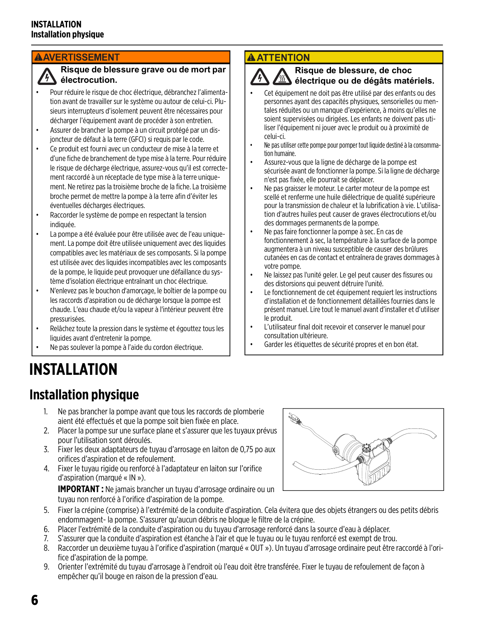#### **AAVERTISSEMENT**

#### **Risque de blessure grave ou de mort par électrocution.**

- Pour réduire le risque de choc électrique, débranchez l'alimentation avant de travailler sur le système ou autour de celui-ci. Plusieurs interrupteurs d'isolement peuvent être nécessaires pour décharger l'équipement avant de procéder à son entretien.
- Assurer de brancher la pompe à un circuit protégé par un disjoncteur de défaut à la terre (GFCI) si requis par le code.
- Ce produit est fourni avec un conducteur de mise à la terre et d'une fiche de branchement de type mise à la terre. Pour réduire le risque de décharge électrique, assurez-vous qu'il est correctement raccordé à un réceptacle de type mise à la terre uniquement. Ne retirez pas la troisième broche de la fiche. La troisième broche permet de mettre la pompe à la terre afin d'éviter les éventuelles décharges électriques.
- Raccorder le système de pompe en respectant la tension indiquée.
- La pompe a été évaluée pour être utilisée avec de l'eau uniquement. La pompe doit être utilisée uniquement avec des liquides compatibles avec les matériaux de ses composants. Si la pompe est utilisée avec des liquides incompatibles avec les composants de la pompe, le liquide peut provoquer une défaillance du système d'isolation électrique entraînant un choc électrique.
- N'enlevez pas le bouchon d'amorçage, le boîtier de la pompe ou les raccords d'aspiration ou de décharge lorsque la pompe est chaude. L'eau chaude et/ou la vapeur à l'intérieur peuvent être pressurisées.
- Relâchez toute la pression dans le système et égouttez tous les liquides avant d'entretenir la pompe.
- Ne pas soulever la pompe à l'aide du cordon électrique.

#### **A ATTENTION**

#### **Risque de blessure, de choc électrique ou de dégâts matériels.**

- Cet équipement ne doit pas être utilisé par des enfants ou des personnes ayant des capacités physiques, sensorielles ou mentales réduites ou un manque d'expérience, à moins qu'elles ne soient supervisées ou dirigées. Les enfants ne doivent pas utiliser l'équipement ni jouer avec le produit ou à proximité de celui-ci.
- Ne pas utiliser cette pompe pour pomper tout liquide destiné à la consommation humaine.
- Assurez-vous que la ligne de décharge de la pompe est sécurisée avant de fonctionner la pompe. Si la ligne de décharge n'est pas fixée, elle pourrait se déplacer.
- Ne pas graisser le moteur. Le carter moteur de la pompe est scellé et renferme une huile diélectrique de qualité supérieure pour la transmission de chaleur et la lubrification à vie. L'utilisation d'autres huiles peut causer de graves électrocutions et/ou des dommages permanents de la pompe.
- Ne pas faire fonctionner la pompe à sec. En cas de fonctionnement à sec, la température à la surface de la pompe augmentera à un niveau susceptible de causer des brûlures cutanées en cas de contact et entraînera de graves dommages à votre pompe.
- Ne laissez pas l'unité geler. Le gel peut causer des fissures ou des distorsions qui peuvent détruire l'unité.
- Le fonctionnement de cet équipement requiert les instructions d'installation et de fonctionnement détaillées fournies dans le présent manuel. Lire tout le manuel avant d'installer et d'utiliser le produit.
- L'utilisateur final doit recevoir et conserver le manuel pour consultation ultérieure.
- Garder les étiquettes de sécurité propres et en bon état.

# **INSTALLATION**

## **Installation physique**

- 1. Ne pas brancher la pompe avant que tous les raccords de plomberie aient été effectués et que la pompe soit bien fixée en place.
- 2. Placer la pompe sur une surface plane et s'assurer que les tuyaux prévus pour l'utilisation sont déroulés.
- 3. Fixer les deux adaptateurs de tuyau d'arrosage en laiton de 0,75 po aux orifices d'aspiration et de refoulement.
- 4. Fixer le tuyau rigide ou renforcé à l'adaptateur en laiton sur l'orifice d'aspiration (marqué « IN »).

**IMPORTANT :** Ne jamais brancher un tuyau d'arrosage ordinaire ou un tuyau non renforcé à l'orifice d'aspiration de la pompe.



- 5. Fixer la crépine (comprise) à l'extrémité de la conduite d'aspiration. Cela évitera que des objets étrangers ou des petits débris endommagent- la pompe. S'assurer qu'aucun débris ne bloque le filtre de la crépine.
- 6. Placer l'extrémité de la conduite d'aspiration ou du tuyau d'arrosage renforcé dans la source d'eau à déplacer.
- 7. S'assurer que la conduite d'aspiration est étanche à l'air et que le tuyau ou le tuyau renforcé est exempt de trou.
- 8. Raccorder un deuxième tuyau à l'orifice d'aspiration (marqué « OUT »). Un tuyau d'arrosage ordinaire peut être raccordé à l'orifice d'aspiration de la pompe.
- 9. Orienter l'extrémité du tuyau d'arrosage à l'endroit où l'eau doit être transférée. Fixer le tuyau de refoulement de façon à empêcher qu'il bouge en raison de la pression d'eau.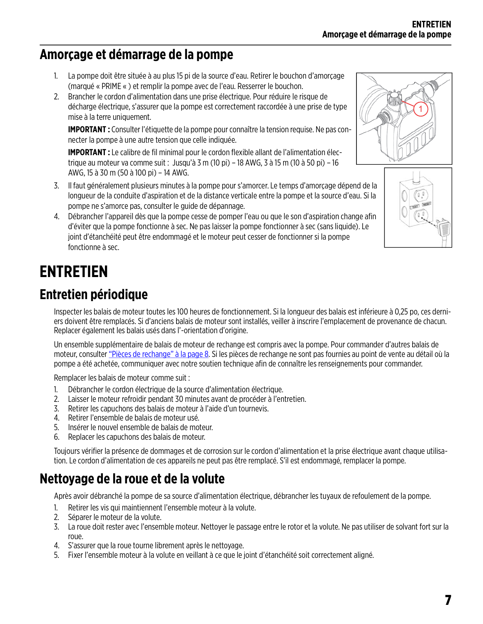### **Amorçage et démarrage de la pompe**

- 1. La pompe doit être située à au plus 15 pi de la source d'eau. Retirer le bouchon d'amorçage (marqué « PRIME « ) et remplir la pompe avec de l'eau. Resserrer le bouchon.
- 2. Brancher le cordon d'alimentation dans une prise électrique. Pour réduire le risque de décharge électrique, s'assurer que la pompe est correctement raccordée à une prise de type mise à la terre uniquement.

**IMPORTANT :** Consulter l'étiquette de la pompe pour connaître la tension requise. Ne pas connecter la pompe à une autre tension que celle indiquée.

**IMPORTANT :** Le calibre de fil minimal pour le cordon flexible allant de l'alimentation électrique au moteur va comme suit : Jusqu'à 3 m (10 pi) – 18 AWG, 3 à 15 m (10 à 50 pi) – 16 AWG, 15 à 30 m (50 à 100 pi) – 14 AWG.

- 3. Il faut généralement plusieurs minutes à la pompe pour s'amorcer. Le temps d'amorçage dépend de la longueur de la conduite d'aspiration et de la distance verticale entre la pompe et la source d'eau. Si la pompe ne s'amorce pas, consulter le guide de dépannage.
- 4. Débrancher l'appareil dès que la pompe cesse de pomper l'eau ou que le son d'aspiration change afin d'éviter que la pompe fonctionne à sec. Ne pas laisser la pompe fonctionner à sec (sans liquide). Le joint d'étanchéité peut être endommagé et le moteur peut cesser de fonctionner si la pompe fonctionne à sec.

## <span id="page-6-1"></span>**ENTRETIEN**

### **Entretien périodique**

Inspecter les balais de moteur toutes les 100 heures de fonctionnement. Si la longueur des balais est inférieure à 0,25 po, ces derniers doivent être remplacés. Si d'anciens balais de moteur sont installés, veiller à inscrire l'emplacement de provenance de chacun. Replacer également les balais usés dans l'-orientation d'origine.

Un ensemble supplémentaire de balais de moteur de rechange est compris avec la pompe. Pour commander d'autres balais de moteur, consulter ["Pièces de rechange" à la page 8](#page-7-0). Si les pièces de rechange ne sont pas fournies au point de vente au détail où la pompe a été achetée, communiquer avec notre soutien technique afin de connaître les renseignements pour commander.

Remplacer les balais de moteur comme suit :

- 1. Débrancher le cordon électrique de la source d'alimentation électrique.
- 2. Laisser le moteur refroidir pendant 30 minutes avant de procéder à l'entretien.
- 3. Retirer les capuchons des balais de moteur à l'aide d'un tournevis.
- 4. Retirer l'ensemble de balais de moteur usé.
- 5. Insérer le nouvel ensemble de balais de moteur.
- 6. Replacer les capuchons des balais de moteur.

Toujours vérifier la présence de dommages et de corrosion sur le cordon d'alimentation et la prise électrique avant chaque utilisation. Le cordon d'alimentation de ces appareils ne peut pas être remplacé. S'il est endommagé, remplacer la pompe.

## <span id="page-6-0"></span>**Nettoyage de la roue et de la volute**

Après avoir débranché la pompe de sa source d'alimentation électrique, débrancher les tuyaux de refoulement de la pompe.

- 1. Retirer les vis qui maintiennent l'ensemble moteur à la volute.
- 2. Séparer le moteur de la volute.
- 3. La roue doit rester avec l'ensemble moteur. Nettoyer le passage entre le rotor et la volute. Ne pas utiliser de solvant fort sur la roue.
- 4. S'assurer que la roue tourne librement après le nettoyage.
- 5. Fixer l'ensemble moteur à la volute en veillant à ce que le joint d'étanchéité soit correctement aligné.



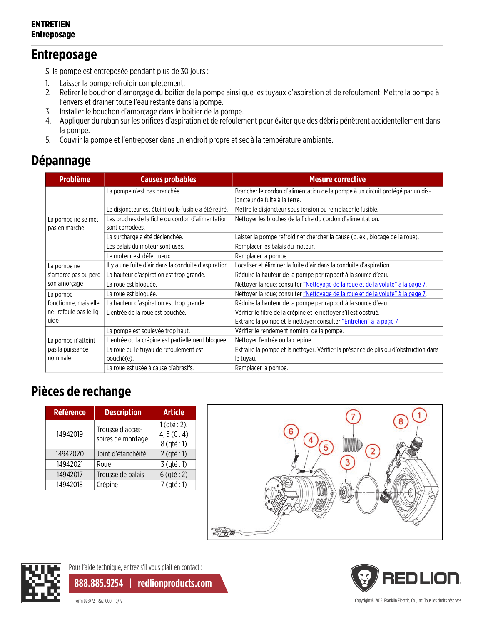### **Entreposage**

Si la pompe est entreposée pendant plus de 30 jours :

- 1. Laisser la pompe refroidir complètement.
- 2. Retirer le bouchon d'amorçage du boîtier de la pompe ainsi que les tuyaux d'aspiration et de refoulement. Mettre la pompe à l'envers et drainer toute l'eau restante dans la pompe.
- 3. Installer le bouchon d'amorçage dans le boîtier de la pompe.
- 4. Appliquer du ruban sur les orifices d'aspiration et de refoulement pour éviter que des débris pénètrent accidentellement dans la pompe.
- 5. Couvrir la pompe et l'entreposer dans un endroit propre et sec à la température ambiante.

### **Dépannage**

| <b>Problème</b>         | <b>Causes probables</b>                               | <b>Mesure corrective</b>                                                                                        |  |  |
|-------------------------|-------------------------------------------------------|-----------------------------------------------------------------------------------------------------------------|--|--|
|                         | La pompe n'est pas branchée.                          | Brancher le cordon d'alimentation de la pompe à un circuit protégé par un dis-<br>joncteur de fuite à la terre. |  |  |
|                         | Le disjoncteur est éteint ou le fusible a été retiré. | Mettre le disjoncteur sous tension ou remplacer le fusible.                                                     |  |  |
| La pompe ne se met      | Les broches de la fiche du cordon d'alimentation      | Nettoyer les broches de la fiche du cordon d'alimentation.                                                      |  |  |
| pas en marche           | sont corrodées.                                       |                                                                                                                 |  |  |
|                         | La surcharge a été déclenchée.                        | Laisser la pompe refroidir et chercher la cause (p. ex., blocage de la roue).                                   |  |  |
|                         | Les balais du moteur sont usés.                       | Remplacer les balais du moteur.                                                                                 |  |  |
|                         | Le moteur est défectueux.                             | Remplacer la pompe.                                                                                             |  |  |
| La pompe ne             | Il y a une fuite d'air dans la conduite d'aspiration. | Localiser et éliminer la fuite d'air dans la conduite d'aspiration.                                             |  |  |
| s'amorce pas ou perd    | La hauteur d'aspiration est trop grande.              | Réduire la hauteur de la pompe par rapport à la source d'eau.                                                   |  |  |
| son amorçage            | La roue est bloquée.                                  | Nettoyer la roue; consulter "Nettoyage de la roue et de la volute" à la page 7.                                 |  |  |
| La pompe                | La roue est bloquée.                                  | Nettoyer la roue; consulter "Nettoyage de la roue et de la volute" à la page 7.                                 |  |  |
| fonctionne, mais elle   | La hauteur d'aspiration est trop grande.              | Réduire la hauteur de la pompe par rapport à la source d'eau.                                                   |  |  |
| ne -refoule pas le lig- | L'entrée de la roue est bouchée.                      | Vérifier le filtre de la crépine et le nettoyer s'il est obstrué.                                               |  |  |
| uide                    |                                                       | Extraire la pompe et la nettoyer; consulter "Entretien" à la page 7                                             |  |  |
|                         | La pompe est soulevée trop haut.                      | Vérifier le rendement nominal de la pompe.                                                                      |  |  |
| La pompe n'atteint      | L'entrée ou la crépine est partiellement bloquée.     | Nettoyer l'entrée ou la crépine.                                                                                |  |  |
| pas la puissance        | La roue ou le tuyau de refoulement est                | Extraire la pompe et la nettoyer. Vérifier la présence de plis ou d'obstruction dans                            |  |  |
| nominale                | bouché(e).                                            | le tuyau.                                                                                                       |  |  |
|                         | La roue est usée à cause d'abrasifs.                  | Remplacer la pompe.                                                                                             |  |  |

### <span id="page-7-0"></span>**Pièces de rechange**

| Référence | <b>Description</b>                    | <b>Article</b>                                 |
|-----------|---------------------------------------|------------------------------------------------|
| 14942019  | Trousse d'acces-<br>soires de montage | $1$ (qté : 2),<br>4, $5(C:4)$<br>$8$ (qté : 1) |
| 14942020  | Joint d'étanchéité                    | $2$ (qté : 1)                                  |
| 14942021  | Roue                                  | $3$ (qté : 1)                                  |
| 14942017  | Trousse de balais                     | $6$ (qté : 2)                                  |
| 14942018  | Crépine                               | $7$ (qté : 1)                                  |





Pour l'aide technique, entrez s'il vous plaît en contact :

**888.885.9254** | **redlionproducts.com**

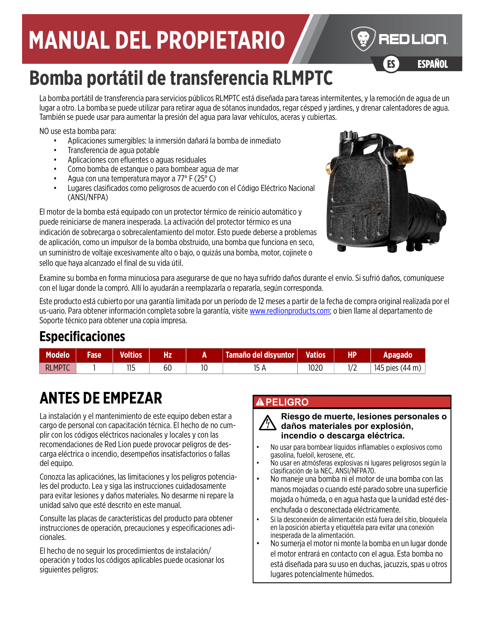# **MANUAL DEL PROPIETARIO**

# **Bomba portátil de transferencia RLMPTC**

La bomba portátil de transferencia para servicios públicos RLMPTC está diseñada para tareas intermitentes, y la remoción de agua de un lugar a otro. La bomba se puede utilizar para retirar agua de sótanos inundados, regar césped y jardines, y drenar calentadores de agua. También se puede usar para aumentar la presión del agua para lavar vehículos, aceras y cubiertas.

NO use esta bomba para:

- Aplicaciones sumergibles: la inmersión dañará la bomba de inmediato
- Transferencia de agua potable
- Aplicaciones con efluentes o aguas residuales
- Como bomba de estanque o para bombear agua de mar
- Agua con una temperatura mayor a 77° F (25° C)
- Lugares clasificados como peligrosos de acuerdo con el Código Eléctrico Nacional (ANSI/NFPA)

El motor de la bomba está equipado con un protector térmico de reinicio automático y puede reiniciarse de manera inesperada. La activación del protector térmico es una indicación de sobrecarga o sobrecalentamiento del motor. Esto puede deberse a problemas de aplicación, como un impulsor de la bomba obstruido, una bomba que funciona en seco, un suministro de voltaje excesivamente alto o bajo, o quizás una bomba, motor, cojinete o sello que haya alcanzado el final de su vida útil.



ES ESPAÑOL

**ESPAÑOL** 

REDLION

Examine su bomba en forma minuciosa para asegurarse de que no haya sufrido daños durante el envío. Si sufrió daños, comuníquese con el lugar donde la compró. Allí lo ayudarán a reemplazarla o repararla, según corresponda.

[Este producto está cubierto por una garantía limitada por un período de 12 meses a partir de la fecha de compra original realizada por el](http://www.redlionproducts.com)  us-[uario. Para obtener información completa sobre la garantía, visite w](http://www.redlionproducts.com)ww.redlionproducts.com; o bien llame al departamento de Soporte técnico para obtener una copia impresa.

### **Especificaciones**

| <b>Modelo</b> | Fase | <b>Voltios</b>   | Hz |    | Tamaño del disyuntor | <b>Vatios</b> | HP | Apagado         |
|---------------|------|------------------|----|----|----------------------|---------------|----|-----------------|
| <b>RLMPTC</b> |      | <b>11 F</b><br>. | bι | 10 |                      | 1020          |    | 145 pies (44 m) |

# **ANTES DE EMPEZAR**

La instalación y el mantenimiento de este equipo deben estar a cargo de personal con capacitación técnica. El hecho de no cumplir con los códigos eléctricos nacionales y locales y con las recomendaciones de Red Lion puede provocar peligros de descarga eléctrica o incendio, desempeños insatisfactorios o fallas del equipo.

Conozca las aplicaciónes, las limitaciones y los peligros potenciales del producto. Lea y siga las instrucciones cuidadosamente para evitar lesiones y daños materiales. No desarme ni repare la unidad salvo que esté descrito en este manual.

Consulte las placas de características del producto para obtener instrucciones de operación, precauciones y especificaciones adicionales.

El hecho de no seguir los procedimientos de instalación/ operación y todos los códigos aplicables puede ocasionar los siguientes peligros:

#### **A PELIGRO**

#### **Riesgo de muerte, lesiones personales o daños materiales por explosión, incendio o descarga eléctrica.**

- No usar para bombear líquidos inflamables o explosivos como gasolina, fueloil, kerosene, etc.
- No usar en atmósferas explosivas ni lugares peligrosos según la clasificación de la NEC, ANSI/NFPA70.
- No maneje una bomba ni el motor de una bomba con las manos mojadas o cuando esté parado sobre una superficie mojada o húmeda, o en agua hasta que la unidad esté desenchufada o desconectada eléctricamente.
- Si la desconexión de alimentación está fuera del sitio, bloquéela en la posición abierta y etiquétela para evitar una conexión inesperada de la alimentación.
- No sumerja el motor ni monte la bomba en un lugar donde el motor entrará en contacto con el agua. Esta bomba no está diseñada para su uso en duchas, jacuzzis, spas u otros lugares potencialmente húmedos.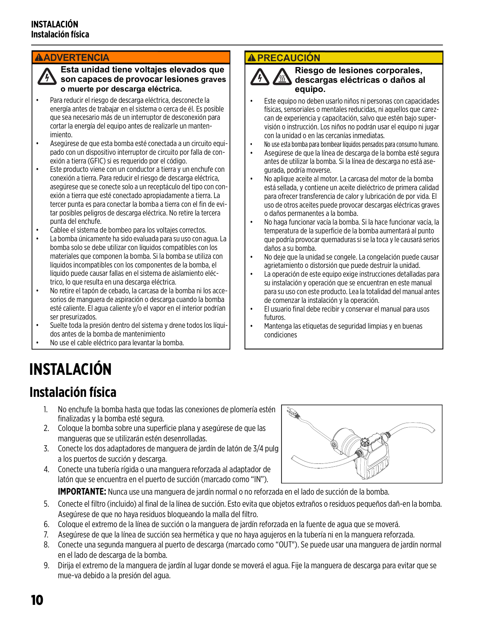#### **AADVERTENCIA**

**Esta unidad tiene voltajes elevados que son capaces de provocar lesiones graves o muerte por descarga eléctrica.**

- Para reducir el riesgo de descarga eléctrica, desconecte la energía antes de trabajar en el sistema o cerca de él. Es posible que sea necesario más de un interruptor de desconexión para cortar la energía del equipo antes de realizarle un mantenimiento.
- Asegúrese de que esta bomba esté conectada a un circuito equipado con un dispositivo interruptor de circuito por falla de conexión a tierra (GFIC) si es requerido por el código.
- Este producto viene con un conductor a tierra y un enchufe con conexión a tierra. Para reducir el riesgo de descarga eléctrica, asegúrese que se conecte solo a un receptáculo del tipo con conexión a tierra que esté conectado apropiadamente a tierra. La tercer punta es para conectar la bomba a tierra con el fin de evitar posibles peligros de descarga eléctrica. No retire la tercera punta del enchufe.
- Cablee el sistema de bombeo para los voltajes correctos.
- La bomba únicamente ha sido evaluada para su uso con agua. La bomba solo se debe utilizar con líquidos compatibles con los materiales que componen la bomba. Si la bomba se utiliza con líquidos incompatibles con los componentes de la bomba, el líquido puede causar fallas en el sistema de aislamiento eléctrico, lo que resulta en una descarga eléctrica.
- No retire el tapón de cebado, la carcasa de la bomba ni los accesorios de manguera de aspiración o descarga cuando la bomba esté caliente. El agua caliente y/o el vapor en el interior podrían ser presurizados.
- Suelte toda la presión dentro del sistema y drene todos los líquidos antes de la bomba de mantenimiento
- No use el cable eléctrico para levantar la bomba.

#### **A PRECAUCIÓN**



#### **Riesgo de lesiones corporales, descargas eléctricas o daños al equipo.**

- Este equipo no deben usarlo niños ni personas con capacidades físicas, sensoriales o mentales reducidas, ni aquellos que carezcan de experiencia y capacitación, salvo que estén bajo supervisión o instrucción. Los niños no podrán usar el equipo ni jugar con la unidad o en las cercanías inmediatas.
- No use esta bomba para bombear líquidos pensados para consumo humano.
- Asegúrese de que la línea de descarga de la bomba esté segura antes de utilizar la bomba. Si la línea de descarga no está asegurada, podría moverse.
- No aplique aceite al motor. La carcasa del motor de la bomba está sellada, y contiene un aceite dieléctrico de primera calidad para ofrecer transferencia de calor y lubricación de por vida. El uso de otros aceites puede provocar descargas eléctricas graves o daños permanentes a la bomba.
- No haga funcionar vacía la bomba. Si la hace funcionar vacía, la temperatura de la superficie de la bomba aumentará al punto que podría provocar quemaduras si se la toca y le causará serios daños a su bomba.
- No deje que la unidad se congele. La congelación puede causar agrietamiento o distorsión que puede destruir la unidad.
- La operación de este equipo exige instrucciones detalladas para su instalación y operación que se encuentran en este manual para su uso con este producto. Lea la totalidad del manual antes de comenzar la instalación y la operación.
- El usuario final debe recibir y conservar el manual para usos futuros.
- Mantenga las etiquetas de seguridad limpias y en buenas condiciones

# **INSTALACIÓN**

### **Instalación física**

- 1. No enchufe la bomba hasta que todas las conexiones de plomería estén finalizadas y la bomba esté segura.
- 2. Coloque la bomba sobre una superficie plana y asegúrese de que las mangueras que se utilizarán estén desenrolladas.
- 3. Conecte los dos adaptadores de manguera de jardín de latón de 3/4 pulg a los puertos de succión y descarga.
- 4. Conecte una tubería rígida o una manguera reforzada al adaptador de latón que se encuentra en el puerto de succión (marcado como "IN").



**IMPORTANTE:** Nunca use una manguera de jardín normal o no reforzada en el lado de succión de la bomba.

- 5. Conecte el filtro (incluido) al final de la línea de succión. Esto evita que objetos extraños o residuos pequeños dañ-en la bomba. Asegúrese de que no haya residuos bloqueando la malla del filtro.
- 6. Coloque el extremo de la línea de succión o la manguera de jardín reforzada en la fuente de agua que se moverá.
- 7. Asegúrese de que la línea de succión sea hermética y que no haya agujeros en la tubería ni en la manguera reforzada.
- 8. Conecte una segunda manguera al puerto de descarga (marcado como "OUT"). Se puede usar una manguera de jardín normal en el lado de descarga de la bomba.
- 9. Dirija el extremo de la manguera de jardín al lugar donde se moverá el agua. Fije la manguera de descarga para evitar que se mue-va debido a la presión del agua.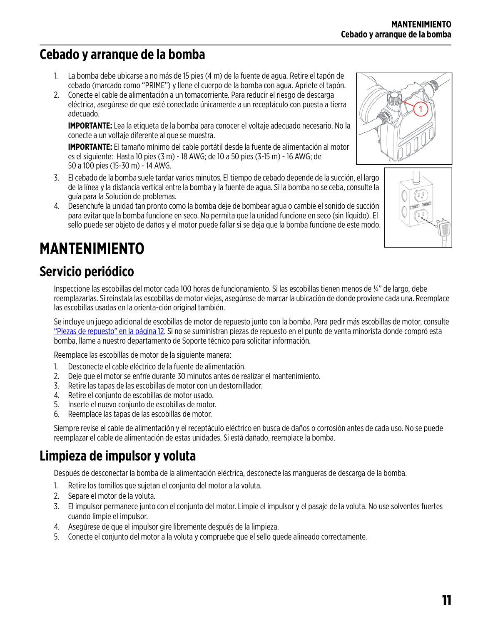## **Cebado y arranque de la bomba**

- 1. La bomba debe ubicarse a no más de 15 pies (4 m) de la fuente de agua. Retire el tapón de cebado (marcado como "PRIME") y llene el cuerpo de la bomba con agua. Apriete el tapón.
- 2. Conecte el cable de alimentación a un tomacorriente. Para reducir el riesgo de descarga eléctrica, asegúrese de que esté conectado únicamente a un receptáculo con puesta a tierra adecuado.

**IMPORTANTE:** Lea la etiqueta de la bomba para conocer el voltaje adecuado necesario. No la conecte a un voltaje diferente al que se muestra.

**IMPORTANTE:** El tamaño mínimo del cable portátil desde la fuente de alimentación al motor es el siguiente: Hasta 10 pies (3 m) - 18 AWG; de 10 a 50 pies (3-15 m) - 16 AWG; de 50 a 100 pies (15-30 m) - 14 AWG.

- 3. El cebado de la bomba suele tardar varios minutos. El tiempo de cebado depende de la succión, el largo de la línea y la distancia vertical entre la bomba y la fuente de agua. Si la bomba no se ceba, consulte la guía para la Solución de problemas.
- 4. Desenchufe la unidad tan pronto como la bomba deje de bombear agua o cambie el sonido de succión para evitar que la bomba funcione en seco. No permita que la unidad funcione en seco (sin líquido). El sello puede ser objeto de daños y el motor puede fallar si se deja que la bomba funcione de este modo.

# <span id="page-10-1"></span>**MANTENIMIENTO**

## **Servicio periódico**

Inspeccione las escobillas del motor cada 100 horas de funcionamiento. Si las escobillas tienen menos de ¼" de largo, debe reemplazarlas. Si reinstala las escobillas de motor viejas, asegúrese de marcar la ubicación de donde proviene cada una. Reemplace las escobillas usadas en la orienta-ción original también.

Se incluye un juego adicional de escobillas de motor de repuesto junto con la bomba. Para pedir más escobillas de motor, consulte ["Piezas de repuesto" en la página 12](#page-11-0). Si no se suministran piezas de repuesto en el punto de venta minorista donde compró esta bomba, llame a nuestro departamento de Soporte técnico para solicitar información.

Reemplace las escobillas de motor de la siguiente manera:

- 1. Desconecte el cable eléctrico de la fuente de alimentación.
- 2. Deje que el motor se enfríe durante 30 minutos antes de realizar el mantenimiento.
- 3. Retire las tapas de las escobillas de motor con un destornillador.
- 4. Retire el conjunto de escobillas de motor usado.
- 5. Inserte el nuevo conjunto de escobillas de motor.
- 6. Reemplace las tapas de las escobillas de motor.

Siempre revise el cable de alimentación y el receptáculo eléctrico en busca de daños o corrosión antes de cada uso. No se puede reemplazar el cable de alimentación de estas unidades. Si está dañado, reemplace la bomba.

## <span id="page-10-0"></span>**Limpieza de impulsor y voluta**

Después de desconectar la bomba de la alimentación eléctrica, desconecte las mangueras de descarga de la bomba.

- 1. Retire los tornillos que sujetan el conjunto del motor a la voluta.
- 2. Separe el motor de la voluta.
- 3. El impulsor permanece junto con el conjunto del motor. Limpie el impulsor y el pasaje de la voluta. No use solventes fuertes cuando limpie el impulsor.
- 4. Asegúrese de que el impulsor gire libremente después de la limpieza.
- 5. Conecte el conjunto del motor a la voluta y compruebe que el sello quede alineado correctamente.